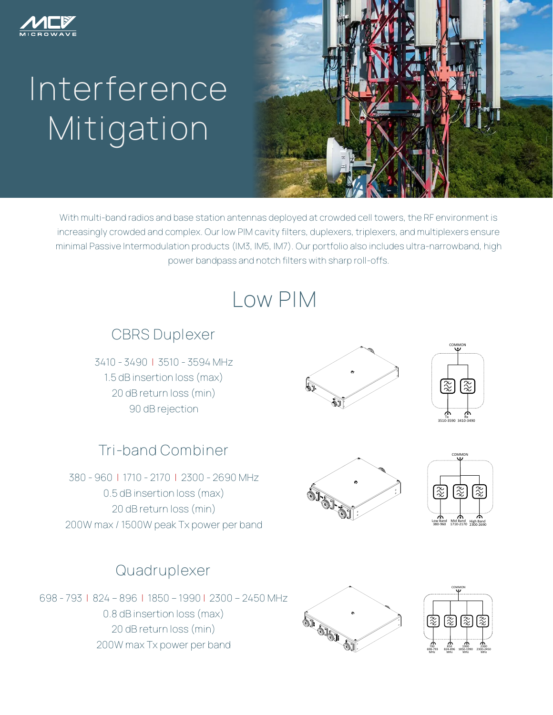

# **Interference Mitigation**



With multi-band radios and base station antennas deployed at crowded cell towers, the RF environment is increasingly crowded and complex. Our low PIM cavity filters, duplexers, triplexers, and multiplexers ensure minimal Passive Intermodulation products (IM3, IM5, IM7). Our portfolio also includes ultra-narrowband, high power bandpass and notch filters with sharp roll-offs.

# **Low PIM**

#### **CBRS Duplexer**

3410 - 3490 | 3510 - 3594 MHz 1.5 dB insertion loss (max) 20 dB return loss (min) 90 dB rejection

## **Tri-band Combiner**

380 - 960 | 1710 - 2170 | 2300 - 2690 MHz 0.5 dB insertion loss (max) 20 dB return loss (min) 200W max / 1500W peak Tx power per band

### **Quadruplexer**

698 - 793 | 824 – 896 | 1850 – 1990 | 2300 – 2450 MHz 0.8 dB insertion loss (max) 20 dB return loss (min) 200W max Tx power per band